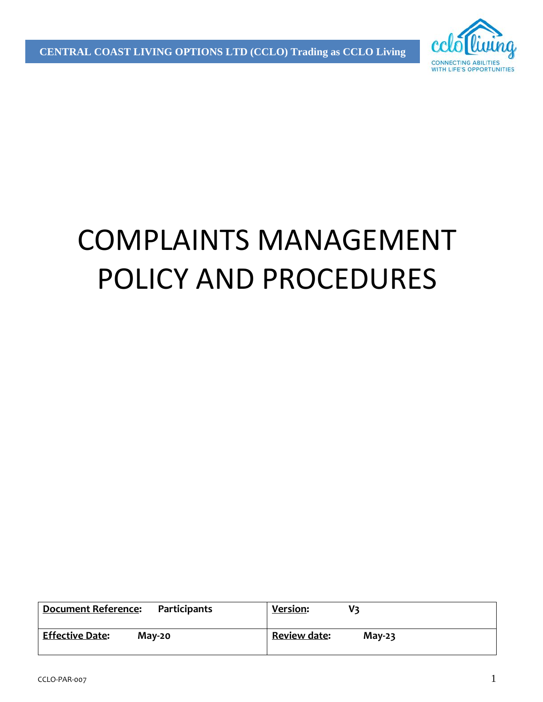

# COMPLAINTS MANAGEMENT POLICY AND PROCEDURES

| <b>Document Reference:</b> | <b>Version:</b>     |
|----------------------------|---------------------|
| Participants               | V٦                  |
| <b>Effective Date:</b>     | <b>Review date:</b> |
| $M$ ay-20                  | $May-23$            |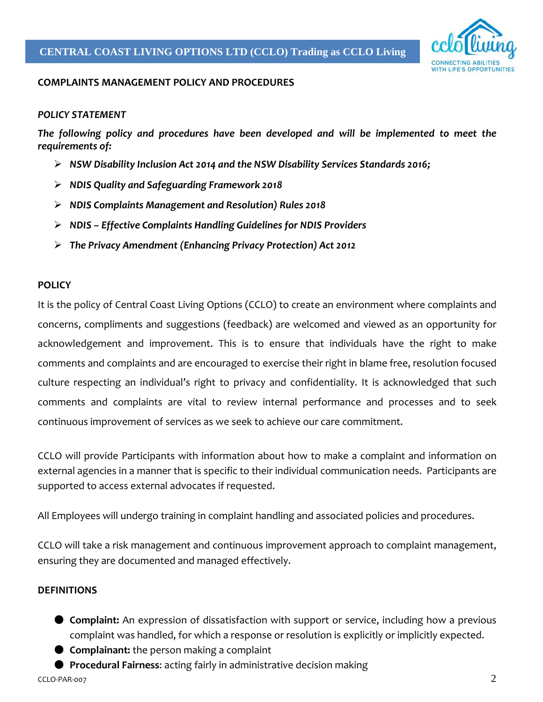

#### **COMPLAINTS MANAGEMENT POLICY AND PROCEDURES**

#### *POLICY STATEMENT*

*The following policy and procedures have been developed and will be implemented to meet the requirements of:* 

- *NSW Disability Inclusion Act 2014 and the NSW Disability Services Standards 2016;*
- *NDIS Quality and Safeguarding Framework 2018*
- *NDIS Complaints Management and Resolution) Rules 2018*
- *NDIS Effective Complaints Handling Guidelines for NDIS Providers*
- *The Privacy Amendment (Enhancing Privacy Protection) Act 2012*

#### **POLICY**

It is the policy of Central Coast Living Options (CCLO) to create an environment where complaints and concerns, compliments and suggestions (feedback) are welcomed and viewed as an opportunity for acknowledgement and improvement. This is to ensure that individuals have the right to make comments and complaints and are encouraged to exercise their right in blame free, resolution focused culture respecting an individual's right to privacy and confidentiality. It is acknowledged that such comments and complaints are vital to review internal performance and processes and to seek continuous improvement of services as we seek to achieve our care commitment.

CCLO will provide Participants with information about how to make a complaint and information on external agencies in a manner that is specific to their individual communication needs. Participants are supported to access external advocates if requested.

All Employees will undergo training in complaint handling and associated policies and procedures.

CCLO will take a risk management and continuous improvement approach to complaint management, ensuring they are documented and managed effectively.

#### **DEFINITIONS**

- **Complaint:** An expression of dissatisfaction with support or service, including how a previous complaint was handled, for which a response or resolution is explicitly or implicitly expected.
- **Complainant:** the person making a complaint
- **Procedural Fairness**: acting fairly in administrative decision making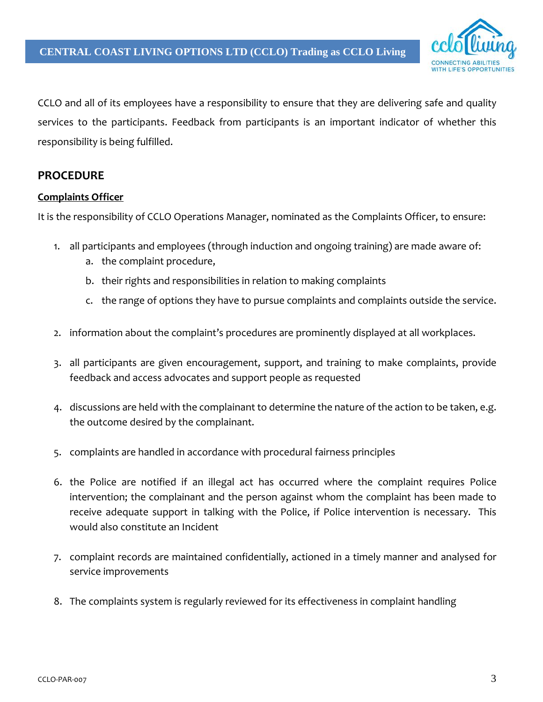

CCLO and all of its employees have a responsibility to ensure that they are delivering safe and quality services to the participants. Feedback from participants is an important indicator of whether this responsibility is being fulfilled.

#### **PROCEDURE**

#### **Complaints Officer**

It is the responsibility of CCLO Operations Manager, nominated as the Complaints Officer, to ensure:

- 1. all participants and employees (through induction and ongoing training) are made aware of:
	- a. the complaint procedure,
	- b. their rights and responsibilities in relation to making complaints
	- c. the range of options they have to pursue complaints and complaints outside the service.
- 2. information about the complaint's procedures are prominently displayed at all workplaces.
- 3. all participants are given encouragement, support, and training to make complaints, provide feedback and access advocates and support people as requested
- 4. discussions are held with the complainant to determine the nature of the action to be taken, e.g. the outcome desired by the complainant.
- 5. complaints are handled in accordance with procedural fairness principles
- 6. the Police are notified if an illegal act has occurred where the complaint requires Police intervention; the complainant and the person against whom the complaint has been made to receive adequate support in talking with the Police, if Police intervention is necessary. This would also constitute an Incident
- 7. complaint records are maintained confidentially, actioned in a timely manner and analysed for service improvements
- 8. The complaints system is regularly reviewed for its effectiveness in complaint handling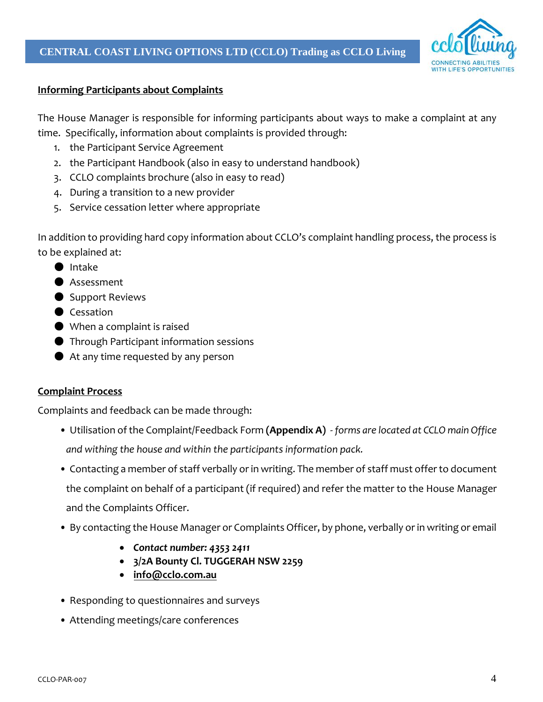

#### **Informing Participants about Complaints**

The House Manager is responsible for informing participants about ways to make a complaint at any time. Specifically, information about complaints is provided through:

- 1. the Participant Service Agreement
- 2. the Participant Handbook (also in easy to understand handbook)
- 3. CCLO complaints brochure (also in easy to read)
- 4. During a transition to a new provider
- 5. Service cessation letter where appropriate

In addition to providing hard copy information about CCLO's complaint handling process, the process is to be explained at:

- Intake
- Assessment
- Support Reviews
- Cessation
- When a complaint is raised
- Through Participant information sessions
- $\bullet$  At any time requested by any person

#### **Complaint Process**

Complaints and feedback can be made through:

- Utilisation of the Complaint/Feedback Form **(Appendix A)** *forms are located at CCLO main Office and withing the house and within the participants information pack.*
- Contacting a member of staff verbally or in writing. The member of staff must offerto document the complaint on behalf of a participant (if required) and refer the matter to the House Manager and the Complaints Officer.
- By contacting the House Manager or Complaints Officer, by phone, verbally or in writing or email
	- *Contact number: 4353 2411*
	- **3/2A Bounty Cl. TUGGERAH NSW 2259**
	- **[info@cclo.com.au](mailto:info@cclo.com.au)**
- Responding to questionnaires and surveys
- Attending meetings/care conferences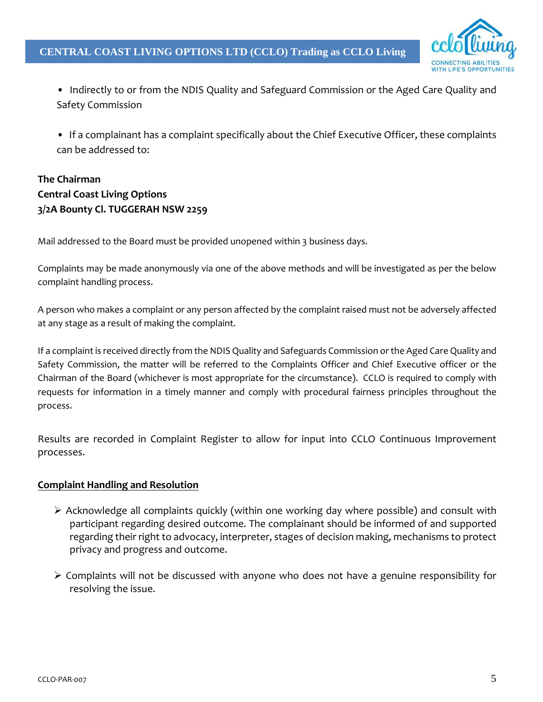

- Indirectly to or from the NDIS Quality and Safeguard Commission or the Aged Care Quality and Safety Commission
- If a complainant has a complaint specifically about the Chief Executive Officer, these complaints can be addressed to:

### **The Chairman Central Coast Living Options 3/2A Bounty Cl. TUGGERAH NSW 2259**

Mail addressed to the Board must be provided unopened within 3 business days.

Complaints may be made anonymously via one of the above methods and will be investigated as per the below complaint handling process.

A person who makes a complaint or any person affected by the complaint raised must not be adversely affected at any stage as a result of making the complaint.

If a complaint is received directly from the NDIS Quality and Safeguards Commission or the Aged Care Quality and Safety Commission, the matter will be referred to the Complaints Officer and Chief Executive officer or the Chairman of the Board (whichever is most appropriate for the circumstance). CCLO is required to comply with requests for information in a timely manner and comply with procedural fairness principles throughout the process.

Results are recorded in Complaint Register to allow for input into CCLO Continuous Improvement processes.

#### **Complaint Handling and Resolution**

- $\triangleright$  Acknowledge all complaints quickly (within one working day where possible) and consult with participant regarding desired outcome. The complainant should be informed of and supported regarding their right to advocacy, interpreter, stages of decision making, mechanisms to protect privacy and progress and outcome.
- $\triangleright$  Complaints will not be discussed with anyone who does not have a genuine responsibility for resolving the issue.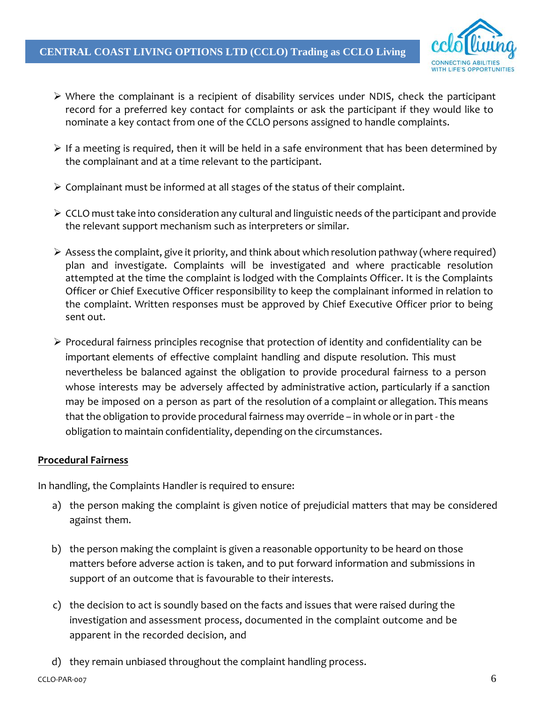

- $\triangleright$  Where the complainant is a recipient of disability services under NDIS, check the participant record for a preferred key contact for complaints or ask the participant if they would like to nominate a key contact from one of the CCLO persons assigned to handle complaints.
- $\triangleright$  If a meeting is required, then it will be held in a safe environment that has been determined by the complainant and at a time relevant to the participant.
- $\triangleright$  Complainant must be informed at all stages of the status of their complaint.
- $\triangleright$  CCLO must take into consideration any cultural and linguistic needs of the participant and provide the relevant support mechanism such as interpreters or similar.
- $\triangleright$  Assess the complaint, give it priority, and think about which resolution pathway (where required) plan and investigate. Complaints will be investigated and where practicable resolution attempted at the time the complaint is lodged with the Complaints Officer. It is the Complaints Officer or Chief Executive Officer responsibility to keep the complainant informed in relation to the complaint. Written responses must be approved by Chief Executive Officer prior to being sent out.
- $\triangleright$  Procedural fairness principles recognise that protection of identity and confidentiality can be important elements of effective complaint handling and dispute resolution. This must nevertheless be balanced against the obligation to provide procedural fairness to a person whose interests may be adversely affected by administrative action, particularly if a sanction may be imposed on a person as part of the resolution of a complaint or allegation. This means that the obligation to provide procedural fairness may override – in whole or in part- the obligation to maintain confidentiality, depending on the circumstances.

#### **Procedural Fairness**

In handling, the Complaints Handler is required to ensure:

- a) the person making the complaint is given notice of prejudicial matters that may be considered against them.
- b) the person making the complaint is given a reasonable opportunity to be heard on those matters before adverse action is taken, and to put forward information and submissions in support of an outcome that is favourable to their interests.
- c) the decision to act is soundly based on the facts and issues that were raised during the investigation and assessment process, documented in the complaint outcome and be apparent in the recorded decision, and
- d) they remain unbiased throughout the complaint handling process.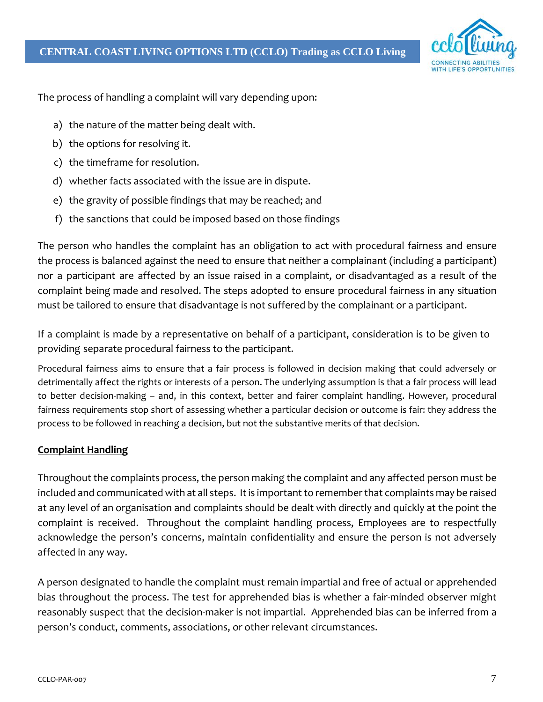

The process of handling a complaint will vary depending upon:

- a) the nature of the matter being dealt with.
- b) the options for resolving it.
- c) the timeframe for resolution.
- d) whether facts associated with the issue are in dispute.
- e) the gravity of possible findings that may be reached; and
- f) the sanctions that could be imposed based on those findings

The person who handles the complaint has an obligation to act with procedural fairness and ensure the process is balanced against the need to ensure that neither a complainant (including a participant) nor a participant are affected by an issue raised in a complaint, or disadvantaged as a result of the complaint being made and resolved. The steps adopted to ensure procedural fairness in any situation must be tailored to ensure that disadvantage is not suffered by the complainant or a participant.

If a complaint is made by a representative on behalf of a participant, consideration is to be given to providing separate procedural fairness to the participant.

Procedural fairness aims to ensure that a fair process is followed in decision making that could adversely or detrimentally affect the rights or interests of a person. The underlying assumption is that a fair process will lead to better decision-making – and, in this context, better and fairer complaint handling. However, procedural fairness requirements stop short of assessing whether a particular decision or outcome is fair: they address the process to be followed in reaching a decision, but not the substantive merits of that decision.

#### **Complaint Handling**

Throughout the complaints process, the person making the complaint and any affected person must be included and communicated with at all steps. It is important to remember that complaints may be raised at any level of an organisation and complaints should be dealt with directly and quickly at the point the complaint is received. Throughout the complaint handling process, Employees are to respectfully acknowledge the person's concerns, maintain confidentiality and ensure the person is not adversely affected in any way.

A person designated to handle the complaint must remain impartial and free of actual or apprehended bias throughout the process. The test for apprehended bias is whether a fair-minded observer might reasonably suspect that the decision-maker is not impartial. Apprehended bias can be inferred from a person's conduct, comments, associations, or other relevant circumstances.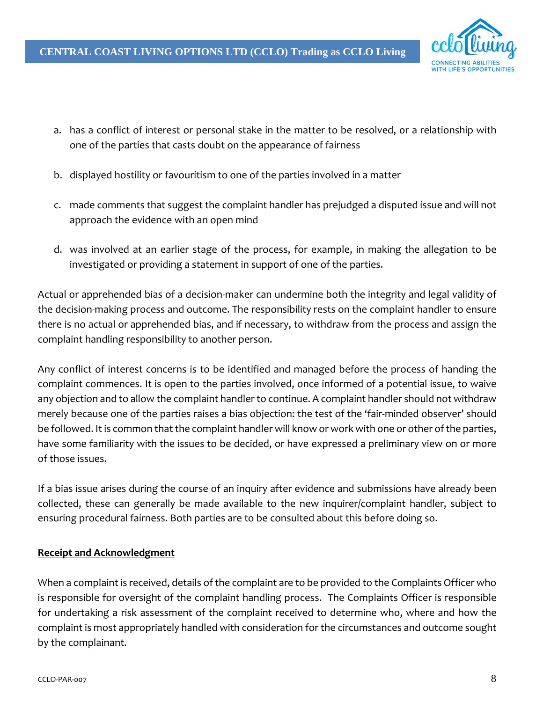

- a. has a conflict of interest or personal stake in the matter to be resolved, or a relationship with one of the parties that casts doubt on the appearance of fairness
- b. displayed hostility or favouritism to one of the parties involved in a matter
- c. made comments that suggest the complaint handler has prejudged a disputed issue and will not approach the evidence with an open mind
- d. was involved at an earlier stage of the process, for example, in making the allegation to be investigated or providing a statement in support of one of the parties.

Actual or apprehended bias of a decision-maker can undermine both the integrity and legal validity of the decision-making process and outcome. The responsibility rests on the complaint handler to ensure there is no actual or apprehended bias, and if necessary, to withdraw from the process and assign the complaint handling responsibility to another person.

Any conflict of interest concerns is to be identified and managed before the process of handing the complaint commences. It is open to the parties involved, once informed of a potential issue, to waive any objection and to allow the complaint handler to continue. A complaint handler should not withdraw merely because one of the parties raises a bias objection: the test of the 'fair-minded observer' should be followed. It is common that the complaint handler will know or work with one or other of the parties, have some familiarity with the issues to be decided, or have expressed a preliminary view on or more of those issues.

If a bias issue arises during the course of an inquiry after evidence and submissions have already been collected, these can generally be made available to the new inquirer/complaint handler, subject to ensuring procedural fairness. Both parties are to be consulted about this before doing so.

#### **Receipt and Acknowledgment**

When a complaint is received, details of the complaint are to be provided to the Complaints Officer who is responsible for oversight of the complaint handling process. The Complaints Officer is responsible for undertaking a risk assessment of the complaint received to determine who, where and how the complaint is most appropriately handled with consideration for the circumstances and outcome sought by the complainant.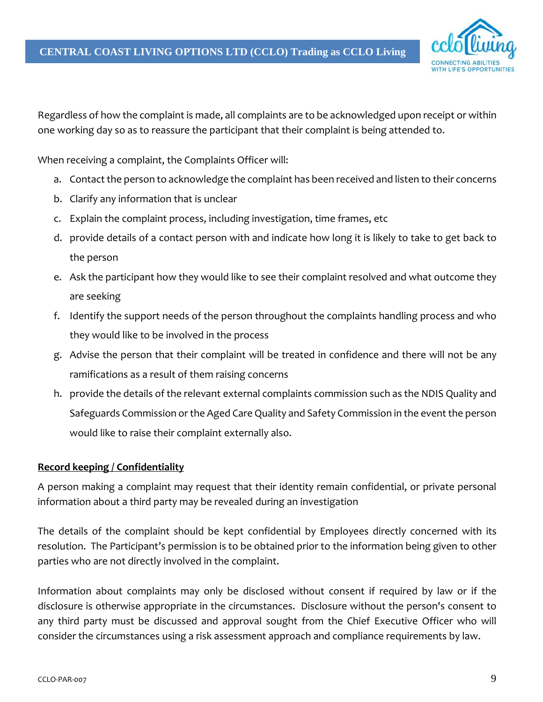

Regardless of how the complaint is made, all complaints are to be acknowledged upon receipt or within one working day so as to reassure the participant that their complaint is being attended to.

When receiving a complaint, the Complaints Officer will:

- a. Contact the person to acknowledge the complaint has been received and listen to their concerns
- b. Clarify any information that is unclear
- c. Explain the complaint process, including investigation, time frames, etc
- d. provide details of a contact person with and indicate how long it is likely to take to get back to the person
- e. Ask the participant how they would like to see their complaint resolved and what outcome they are seeking
- f. Identify the support needs of the person throughout the complaints handling process and who they would like to be involved in the process
- g. Advise the person that their complaint will be treated in confidence and there will not be any ramifications as a result of them raising concerns
- h. provide the details of the relevant external complaints commission such as the NDIS Quality and Safeguards Commission or the Aged Care Quality and Safety Commission in the event the person would like to raise their complaint externally also.

#### **Record keeping / Confidentiality**

A person making a complaint may request that their identity remain confidential, or private personal information about a third party may be revealed during an investigation

The details of the complaint should be kept confidential by Employees directly concerned with its resolution. The Participant's permission is to be obtained prior to the information being given to other parties who are not directly involved in the complaint.

Information about complaints may only be disclosed without consent if required by law or if the disclosure is otherwise appropriate in the circumstances. Disclosure without the person's consent to any third party must be discussed and approval sought from the Chief Executive Officer who will consider the circumstances using a risk assessment approach and compliance requirements by law.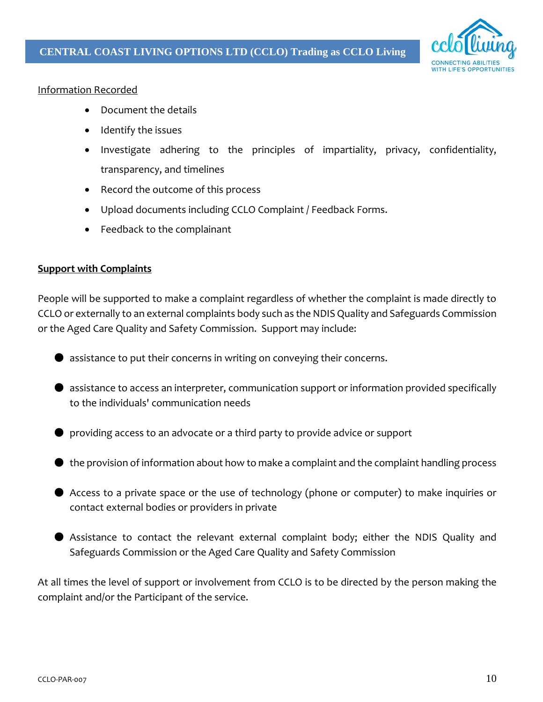

#### Information Recorded

- Document the details
- Identify the issues
- Investigate adhering to the principles of impartiality, privacy, confidentiality, transparency, and timelines
- Record the outcome of this process
- Upload documents including CCLO Complaint / Feedback Forms.
- Feedback to the complainant

#### **Support with Complaints**

People will be supported to make a complaint regardless of whether the complaint is made directly to CCLO or externally to an external complaints body such as the NDIS Quality and Safeguards Commission or the Aged Care Quality and Safety Commission. Support may include:

- assistance to put their concerns in writing on conveying their concerns.
- assistance to access an interpreter, communication support or information provided specifically to the individuals' communication needs
- providing access to an advocate or a third party to provide advice or support
- the provision of information about how to make a complaint and the complaint handling process
- Access to a private space or the use of technology (phone or computer) to make inquiries or contact external bodies or providers in private
- Assistance to contact the relevant external complaint body; either the NDIS Quality and Safeguards Commission or the Aged Care Quality and Safety Commission

At all times the level of support or involvement from CCLO is to be directed by the person making the complaint and/or the Participant of the service.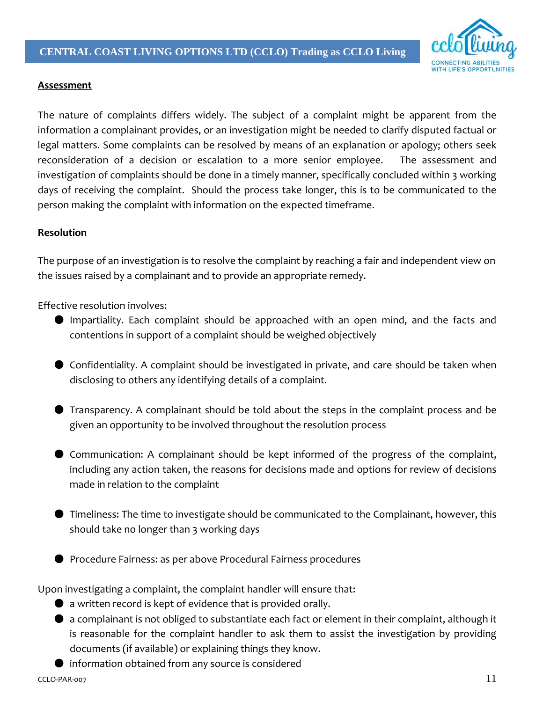

#### **Assessment**

The nature of complaints differs widely. The subject of a complaint might be apparent from the information a complainant provides, or an investigation might be needed to clarify disputed factual or legal matters. Some complaints can be resolved by means of an explanation or apology; others seek reconsideration of a decision or escalation to a more senior employee. The assessment and investigation of complaints should be done in a timely manner, specifically concluded within 3 working days of receiving the complaint. Should the process take longer, this is to be communicated to the person making the complaint with information on the expected timeframe.

#### **Resolution**

The purpose of an investigation is to resolve the complaint by reaching a fair and independent view on the issues raised by a complainant and to provide an appropriate remedy.

Effective resolution involves:

- Impartiality. Each complaint should be approached with an open mind, and the facts and contentions in support of a complaint should be weighed objectively
- Confidentiality. A complaint should be investigated in private, and care should be taken when disclosing to others any identifying details of a complaint.
- Transparency. A complainant should be told about the steps in the complaint process and be given an opportunity to be involved throughout the resolution process
- Communication: A complainant should be kept informed of the progress of the complaint, including any action taken, the reasons for decisions made and options for review of decisions made in relation to the complaint
- Timeliness: The time to investigate should be communicated to the Complainant, however, this should take no longer than 3 working days
- Procedure Fairness: as per above Procedural Fairness procedures

Upon investigating a complaint, the complaint handler will ensure that:

- $\bullet$  a written record is kept of evidence that is provided orally.
- a complainant is not obliged to substantiate each fact or element in their complaint, although it is reasonable for the complaint handler to ask them to assist the investigation by providing documents (if available) or explaining things they know.
- information obtained from any source is considered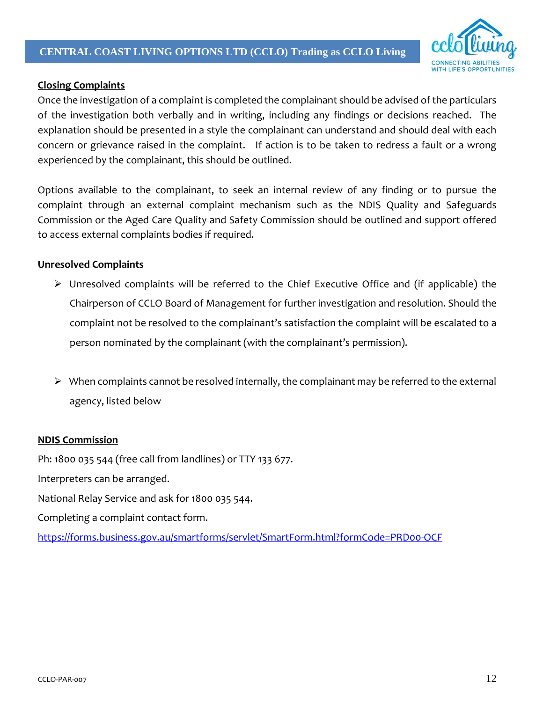

#### **Closing Complaints**

Once the investigation of a complaint is completed the complainant should be advised of the particulars of the investigation both verbally and in writing, including any findings or decisions reached. The explanation should be presented in a style the complainant can understand and should deal with each concern or grievance raised in the complaint. If action is to be taken to redress a fault or a wrong experienced by the complainant, this should be outlined.

Options available to the complainant, to seek an internal review of any finding or to pursue the complaint through an external complaint mechanism such as the NDIS Quality and Safeguards Commission or the Aged Care Quality and Safety Commission should be outlined and support offered to access external complaints bodies if required.

#### **Unresolved Complaints**

- Unresolved complaints will be referred to the Chief Executive Office and (if applicable) the Chairperson of CCLO Board of Management for further investigation and resolution. Should the complaint not be resolved to the complainant's satisfaction the complaint will be escalated to a person nominated by the complainant (with the complainant's permission).
- $\triangleright$  When complaints cannot be resolved internally, the complainant may be referred to the external agency, listed below

#### **NDIS Commission**

Ph: 1800 035 544 (free call from landlines) or TTY 133 677.

Interpreters can be arranged.

National Relay Service and ask for 1800 035 544.

Completing a complaint contact form.

<https://forms.business.gov.au/smartforms/servlet/SmartForm.html?formCode=PRD00-OCF>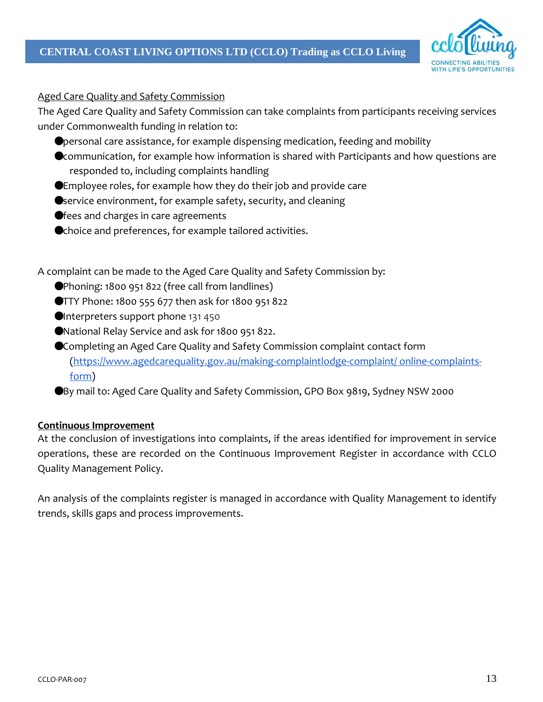

#### Aged Care Quality and Safety Commission

The Aged Care Quality and Safety Commission can take complaints from participants receiving services under Commonwealth funding in relation to:

- ●personal care assistance, for example dispensing medication, feeding and mobility
- Communication, for example how information is shared with Participants and how questions are responded to, including complaints handling
- ●Employee roles, for example how they do their job and provide care
- Service environment, for example safety, security, and cleaning
- fees and charges in care agreements
- ●choice and preferences, for example tailored activities.

A complaint can be made to the Aged Care Quality and Safety Commission by:

- ●Phoning: 1800 951 822 (free call from landlines)
- ●TTY Phone: 1800 555 677 then ask for 1800 951 822
- ●Interpreters support phone 131 450
- ●National Relay Service and ask for 1800 951 822.
- ●Completing an Aged Care Quality and Safety Commission complaint contact form [\(https://www.agedcarequality.gov.au/making-complaintlodge-complaint/ online-complaints](https://www.agedcarequality.gov.au/making-complaintlodge-complaint/)[form\)](https://www.agedcarequality.gov.au/making-complaintlodge-complaint/)
- ●By mail to: Aged Care Quality and Safety Commission, GPO Box 9819, Sydney NSW 2000

#### **Continuous Improvement**

At the conclusion of investigations into complaints, if the areas identified for improvement in service operations, these are recorded on the Continuous Improvement Register in accordance with CCLO Quality Management Policy.

An analysis of the complaints register is managed in accordance with Quality Management to identify trends, skills gaps and process improvements.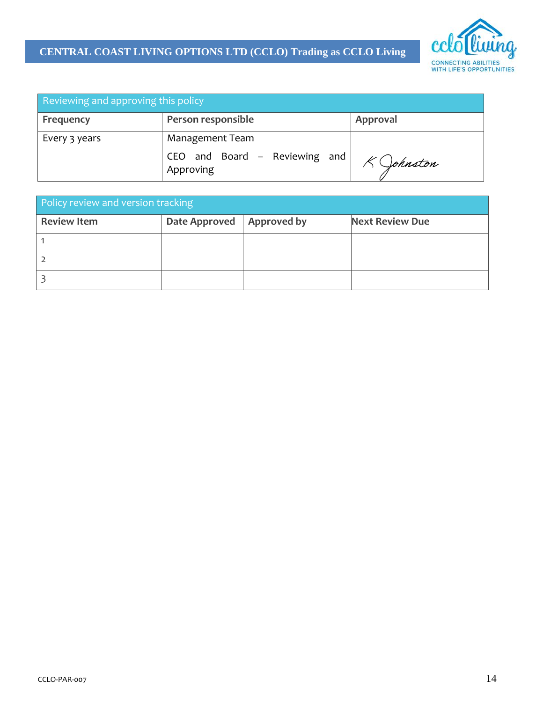## **CENTRAL COAST LIVING OPTIONS LTD (CCLO) Trading as CCLO Living**



| Reviewing and approving this policy |                                            |          |  |
|-------------------------------------|--------------------------------------------|----------|--|
| Frequency                           | Person responsible                         | Approval |  |
| Every 3 years                       | Management Team                            |          |  |
|                                     | CEO and Board - Reviewing and<br>Approving | Johnston |  |

| Policy review and version tracking |               |             |                        |  |
|------------------------------------|---------------|-------------|------------------------|--|
| <b>Review Item</b>                 | Date Approved | Approved by | <b>Next Review Due</b> |  |
|                                    |               |             |                        |  |
|                                    |               |             |                        |  |
|                                    |               |             |                        |  |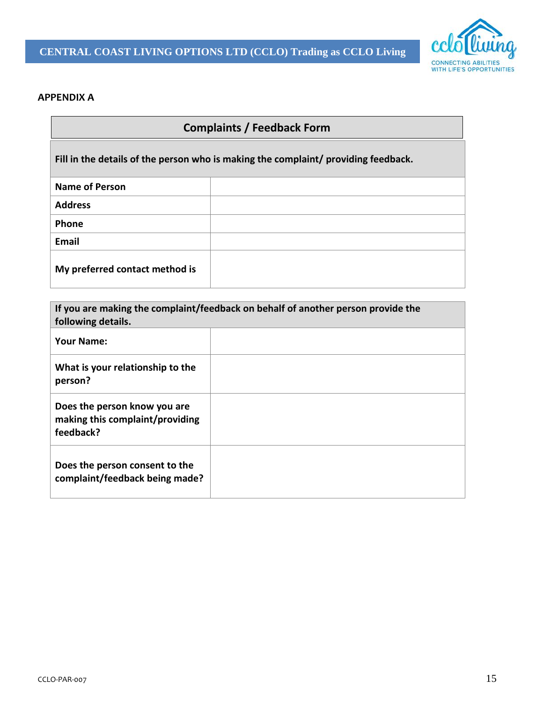

#### **APPENDIX A**

# **Complaints / Feedback Form**

**Fill in the details of the person who is making the complaint/ providing feedback.**

| <b>Name of Person</b>          |  |
|--------------------------------|--|
| <b>Address</b>                 |  |
| Phone                          |  |
| Email                          |  |
| My preferred contact method is |  |

| If you are making the complaint/feedback on behalf of another person provide the<br>following details. |  |  |  |
|--------------------------------------------------------------------------------------------------------|--|--|--|
| <b>Your Name:</b>                                                                                      |  |  |  |
| What is your relationship to the<br>person?                                                            |  |  |  |
| Does the person know you are<br>making this complaint/providing<br>feedback?                           |  |  |  |
| Does the person consent to the<br>complaint/feedback being made?                                       |  |  |  |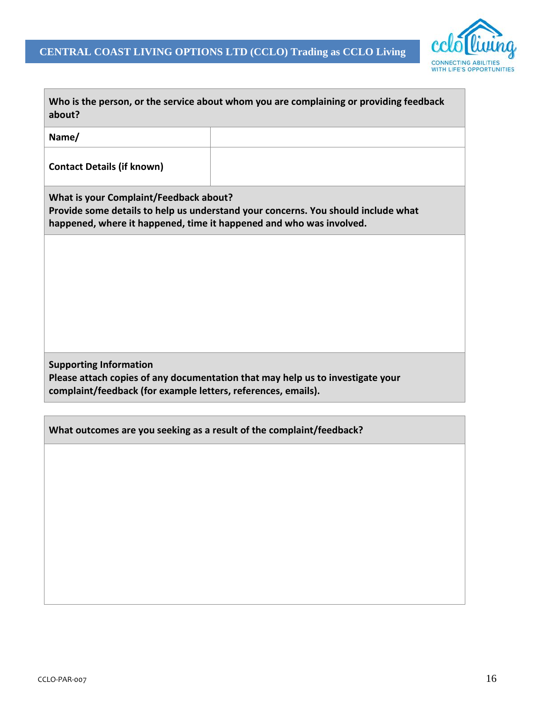

 $\overline{\phantom{a}}$ 

| about?                                                                                                                                                                                             | Who is the person, or the service about whom you are complaining or providing feedback |  |  |
|----------------------------------------------------------------------------------------------------------------------------------------------------------------------------------------------------|----------------------------------------------------------------------------------------|--|--|
| Name/                                                                                                                                                                                              |                                                                                        |  |  |
| <b>Contact Details (if known)</b>                                                                                                                                                                  |                                                                                        |  |  |
| What is your Complaint/Feedback about?<br>Provide some details to help us understand your concerns. You should include what<br>happened, where it happened, time it happened and who was involved. |                                                                                        |  |  |
|                                                                                                                                                                                                    |                                                                                        |  |  |
|                                                                                                                                                                                                    |                                                                                        |  |  |
|                                                                                                                                                                                                    |                                                                                        |  |  |
|                                                                                                                                                                                                    |                                                                                        |  |  |
| <b>Supporting Information</b><br>complaint/feedback (for example letters, references, emails).                                                                                                     | Please attach copies of any documentation that may help us to investigate your         |  |  |
|                                                                                                                                                                                                    |                                                                                        |  |  |
| What outcomes are you seeking as a result of the complaint/feedback?                                                                                                                               |                                                                                        |  |  |
|                                                                                                                                                                                                    |                                                                                        |  |  |
|                                                                                                                                                                                                    |                                                                                        |  |  |

Г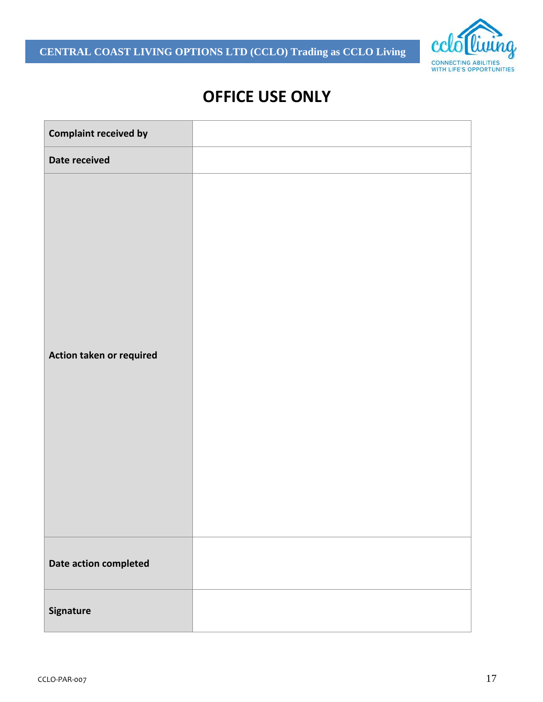**CENTRAL COAST LIVING OPTIONS LTD (CCLO) Trading as CCLO Living**



# **OFFICE USE ONLY**

| <b>Complaint received by</b> |  |
|------------------------------|--|
| Date received                |  |
| Action taken or required     |  |
| Date action completed        |  |
| Signature                    |  |